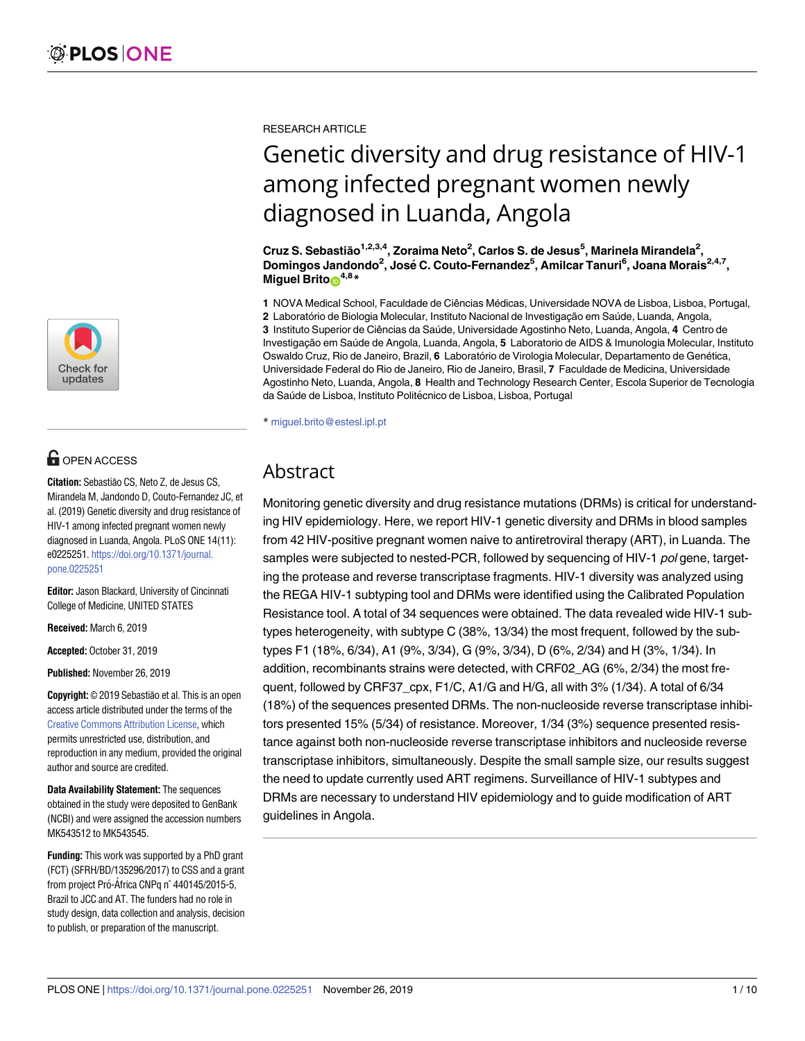

## **G** OPEN ACCESS

**Citation:** Sebastião CS, Neto Z, de Jesus CS, Mirandela M, Jandondo D, Couto-Fernandez JC, et al. (2019) Genetic diversity and drug resistance of HIV-1 among infected pregnant women newly diagnosed in Luanda, Angola. PLoS ONE 14(11): e0225251. [https://doi.org/10.1371/journal.](https://doi.org/10.1371/journal.pone.0225251) [pone.0225251](https://doi.org/10.1371/journal.pone.0225251)

**Editor:** Jason Blackard, University of Cincinnati College of Medicine, UNITED STATES

**Received:** March 6, 2019

**Accepted:** October 31, 2019

**Published:** November 26, 2019

**Copyright:** © 2019 Sebastião et al. This is an open access article distributed under the terms of the Creative Commons [Attribution](http://creativecommons.org/licenses/by/4.0/) License, which permits unrestricted use, distribution, and reproduction in any medium, provided the original author and source are credited.

**Data Availability Statement:** The sequences obtained in the study were deposited to GenBank (NCBI) and were assigned the accession numbers MK543512 to MK543545.

**Funding:** This work was supported by a PhD grant (FCT) (SFRH/BD/135296/2017) to CSS and a grant from project Pró-África CNPq n° 440145/2015-5, Brazil to JCC and AT. The funders had no role in study design, data collection and analysis, decision to publish, or preparation of the manuscript.

RESEARCH ARTICLE

# Genetic diversity and drug resistance of HIV-1 among infected pregnant women newly diagnosed in Luanda, Angola

**Cruz S. Sebastião1,2,3,4, Zoraima Neto2 , Carlos S. de Jesus5 , Marinela Mirandela2 , Domingos Jandondo2 , Jose´ C. Couto-Fernandez5 , Amilcar Tanuri6 , Joana Morais2,4,7, Miguel Brito**<sup>4,8</sup>**\*** 

1 NOVA Medical School, Faculdade de Ciências Médicas, Universidade NOVA de Lisboa, Lisboa, Portugal, 2 Laboratório de Biologia Molecular, Instituto Nacional de Investigação em Saúde, Luanda, Angola, **3** Instituto Superior de Ciências da Sau´de, Universidade Agostinho Neto, Luanda, Angola, **4** Centro de Investigac¸ão em Sau´de de Angola, Luanda, Angola, **5** Laboratorio de AIDS & Imunologia Molecular, Instituto Oswaldo Cruz, Rio de Janeiro, Brazil, 6 Laboratório de Virologia Molecular, Departamento de Genética, Universidade Federal do Rio de Janeiro, Rio de Janeiro, Brasil, **7** Faculdade de Medicina, Universidade Agostinho Neto, Luanda, Angola, **8** Health and Technology Research Center, Escola Superior de Tecnologia da Saúde de Lisboa, Instituto Politécnico de Lisboa, Lisboa, Portugal

\* miguel.brito@estesl.ipl.pt

## Abstract

Monitoring genetic diversity and drug resistance mutations (DRMs) is critical for understanding HIV epidemiology. Here, we report HIV-1 genetic diversity and DRMs in blood samples from 42 HIV-positive pregnant women naive to antiretroviral therapy (ART), in Luanda. The samples were subjected to nested-PCR, followed by sequencing of HIV-1 pol gene, targeting the protease and reverse transcriptase fragments. HIV-1 diversity was analyzed using the REGA HIV-1 subtyping tool and DRMs were identified using the Calibrated Population Resistance tool. A total of 34 sequences were obtained. The data revealed wide HIV-1 subtypes heterogeneity, with subtype C (38%, 13/34) the most frequent, followed by the subtypes F1 (18%, 6/34), A1 (9%, 3/34), G (9%, 3/34), D (6%, 2/34) and H (3%, 1/34). In addition, recombinants strains were detected, with CRF02\_AG (6%, 2/34) the most frequent, followed by CRF37\_cpx, F1/C, A1/G and H/G, all with 3% (1/34). A total of 6/34 (18%) of the sequences presented DRMs. The non-nucleoside reverse transcriptase inhibitors presented 15% (5/34) of resistance. Moreover, 1/34 (3%) sequence presented resistance against both non-nucleoside reverse transcriptase inhibitors and nucleoside reverse transcriptase inhibitors, simultaneously. Despite the small sample size, our results suggest the need to update currently used ART regimens. Surveillance of HIV-1 subtypes and DRMs are necessary to understand HIV epidemiology and to guide modification of ART guidelines in Angola.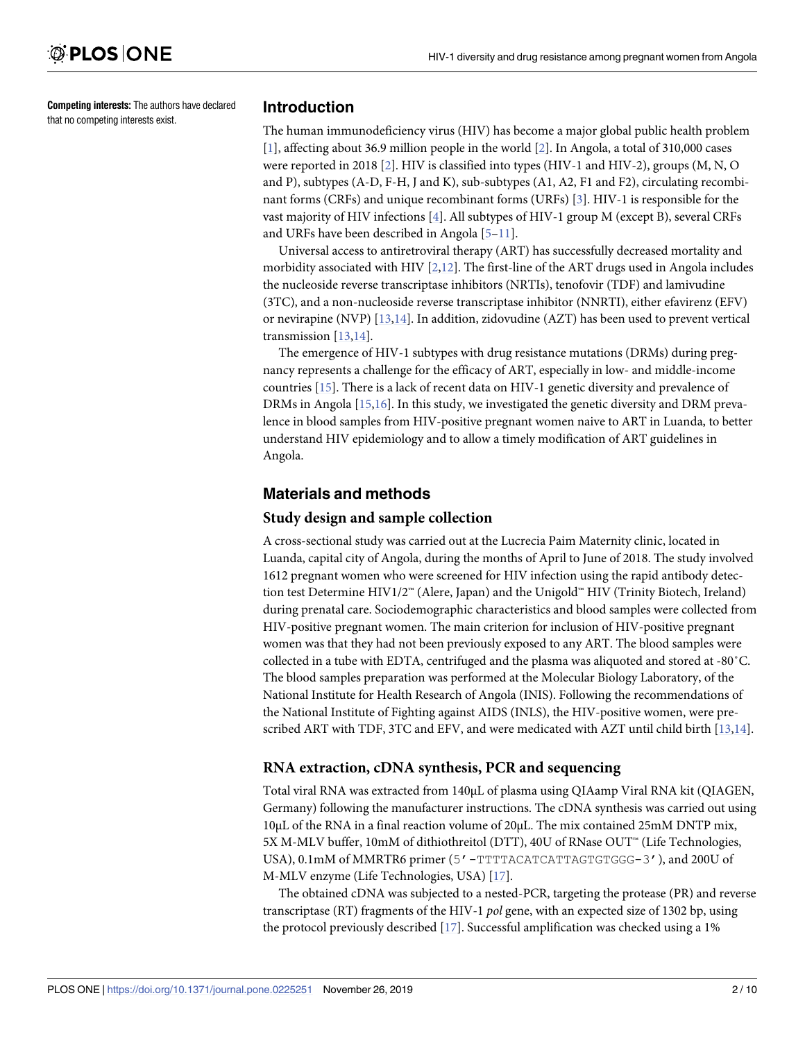<span id="page-1-0"></span>**Competing interests:** The authors have declared that no competing interests exist.

## **Introduction**

The human immunodeficiency virus (HIV) has become a major global public health problem [\[1](#page-7-0)], affecting about 36.9 million people in the world [\[2\]](#page-7-0). In Angola, a total of 310,000 cases were reported in 2018 [[2\]](#page-7-0). HIV is classified into types (HIV-1 and HIV-2), groups (M, N, O and P), subtypes (A-D, F-H, J and K), sub-subtypes (A1, A2, F1 and F2), circulating recombinant forms (CRFs) and unique recombinant forms (URFs) [[3](#page-7-0)]. HIV-1 is responsible for the vast majority of HIV infections [\[4](#page-8-0)]. All subtypes of HIV-1 group M (except B), several CRFs and URFs have been described in Angola [\[5–11\]](#page-8-0).

Universal access to antiretroviral therapy (ART) has successfully decreased mortality and morbidity associated with HIV  $[2,12]$  $[2,12]$  $[2,12]$  $[2,12]$  $[2,12]$ . The first-line of the ART drugs used in Angola includes the nucleoside reverse transcriptase inhibitors (NRTIs), tenofovir (TDF) and lamivudine (3TC), and a non-nucleoside reverse transcriptase inhibitor (NNRTI), either efavirenz (EFV) or nevirapine (NVP) [\[13,14](#page-8-0)]. In addition, zidovudine (AZT) has been used to prevent vertical transmission [\[13,14](#page-8-0)].

The emergence of HIV-1 subtypes with drug resistance mutations (DRMs) during pregnancy represents a challenge for the efficacy of ART, especially in low- and middle-income countries [[15](#page-8-0)]. There is a lack of recent data on HIV-1 genetic diversity and prevalence of DRMs in Angola [\[15,16](#page-8-0)]. In this study, we investigated the genetic diversity and DRM prevalence in blood samples from HIV-positive pregnant women naive to ART in Luanda, to better understand HIV epidemiology and to allow a timely modification of ART guidelines in Angola.

## **Materials and methods**

### **Study design and sample collection**

A cross-sectional study was carried out at the Lucrecia Paim Maternity clinic, located in Luanda, capital city of Angola, during the months of April to June of 2018. The study involved 1612 pregnant women who were screened for HIV infection using the rapid antibody detection test Determine HIV1/2™ (Alere, Japan) and the Unigold™ HIV (Trinity Biotech, Ireland) during prenatal care. Sociodemographic characteristics and blood samples were collected from HIV-positive pregnant women. The main criterion for inclusion of HIV-positive pregnant women was that they had not been previously exposed to any ART. The blood samples were collected in a tube with EDTA, centrifuged and the plasma was aliquoted and stored at -80˚C. The blood samples preparation was performed at the Molecular Biology Laboratory, of the National Institute for Health Research of Angola (INIS). Following the recommendations of the National Institute of Fighting against AIDS (INLS), the HIV-positive women, were prescribed ART with TDF, 3TC and EFV, and were medicated with AZT until child birth [[13](#page-8-0),[14\]](#page-8-0).

## **RNA extraction, cDNA synthesis, PCR and sequencing**

Total viral RNA was extracted from 140μL of plasma using QIAamp Viral RNA kit (QIAGEN, Germany) following the manufacturer instructions. The cDNA synthesis was carried out using 10μL of the RNA in a final reaction volume of 20μL. The mix contained 25mM DNTP mix, 5X M-MLV buffer, 10mM of dithiothreitol (DTT), 40U of RNase OUT™ (Life Technologies, USA), 0.1mM of MMRTR6 primer (5'-TTTTACATCATTAGTGTGGG-3'), and 200U of M-MLV enzyme (Life Technologies, USA) [\[17\]](#page-8-0).

The obtained cDNA was subjected to a nested-PCR, targeting the protease (PR) and reverse transcriptase (RT) fragments of the HIV-1 *pol* gene, with an expected size of 1302 bp, using the protocol previously described [\[17\]](#page-8-0). Successful amplification was checked using a 1%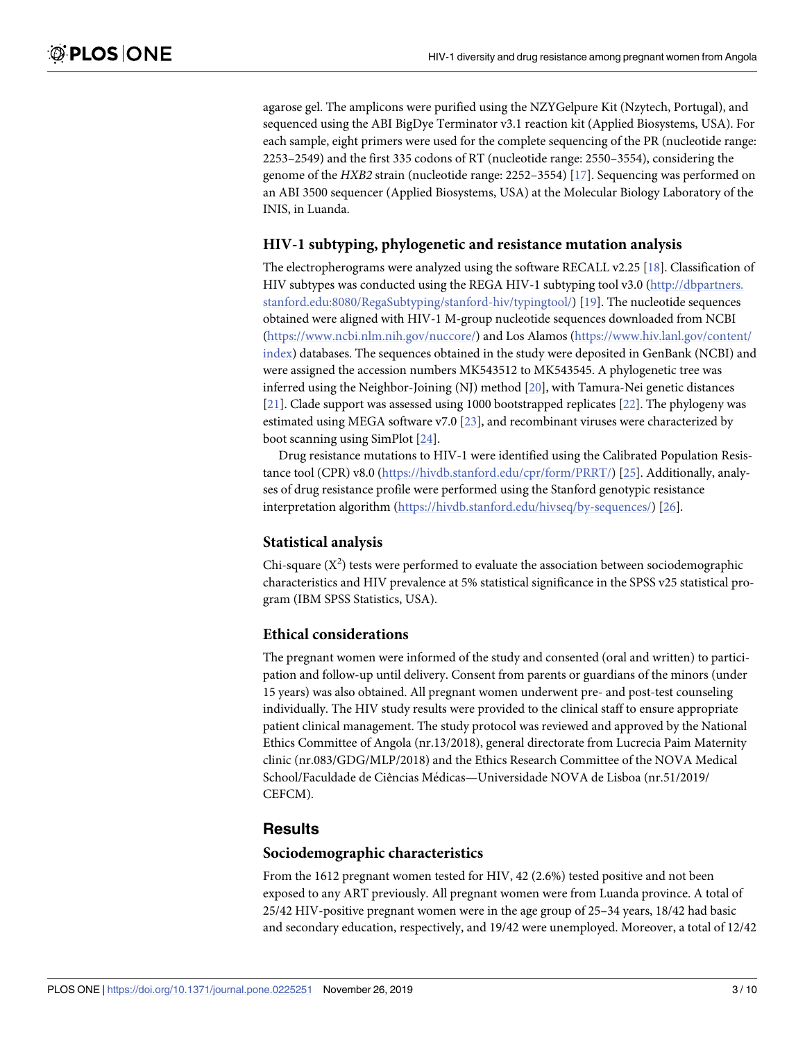<span id="page-2-0"></span>agarose gel. The amplicons were purified using the NZYGelpure Kit (Nzytech, Portugal), and sequenced using the ABI BigDye Terminator v3.1 reaction kit (Applied Biosystems, USA). For each sample, eight primers were used for the complete sequencing of the PR (nucleotide range: 2253–2549) and the first 335 codons of RT (nucleotide range: 2550–3554), considering the genome of the *HXB2* strain (nucleotide range: 2252–3554) [\[17\]](#page-8-0). Sequencing was performed on an ABI 3500 sequencer (Applied Biosystems, USA) at the Molecular Biology Laboratory of the INIS, in Luanda.

## **HIV-1 subtyping, phylogenetic and resistance mutation analysis**

The electropherograms were analyzed using the software RECALL v2.25 [[18](#page-8-0)]. Classification of HIV subtypes was conducted using the REGA HIV-1 subtyping tool v3.0 ([http://dbpartners.](http://dbpartners.stanford.edu:8080/RegaSubtyping/stanford-hiv/typingtool/) [stanford.edu:8080/RegaSubtyping/stanford-hiv/typingtool/](http://dbpartners.stanford.edu:8080/RegaSubtyping/stanford-hiv/typingtool/)) [\[19\]](#page-8-0). The nucleotide sequences obtained were aligned with HIV-1 M-group nucleotide sequences downloaded from NCBI [\(https://www.ncbi.nlm.nih.gov/nuccore/\)](https://www.ncbi.nlm.nih.gov/nuccore/) and Los Alamos [\(https://www.hiv.lanl.gov/content/](https://www.hiv.lanl.gov/content/index) [index](https://www.hiv.lanl.gov/content/index)) databases. The sequences obtained in the study were deposited in GenBank (NCBI) and were assigned the accession numbers MK543512 to MK543545. A phylogenetic tree was inferred using the Neighbor-Joining (NJ) method [\[20\]](#page-8-0), with Tamura-Nei genetic distances [\[21\]](#page-8-0). Clade support was assessed using 1000 bootstrapped replicates [\[22\]](#page-8-0). The phylogeny was estimated using MEGA software v7.0 [\[23\]](#page-8-0), and recombinant viruses were characterized by boot scanning using SimPlot [[24](#page-8-0)].

Drug resistance mutations to HIV-1 were identified using the Calibrated Population Resistance tool (CPR) v8.0 (<https://hivdb.stanford.edu/cpr/form/PRRT/>) [\[25\]](#page-8-0). Additionally, analyses of drug resistance profile were performed using the Stanford genotypic resistance interpretation algorithm ([https://hivdb.stanford.edu/hivseq/by-sequences/\)](https://hivdb.stanford.edu/hivseq/by-sequences/) [[26](#page-9-0)].

## **Statistical analysis**

Chi-square  $(X^2)$  tests were performed to evaluate the association between sociodemographic characteristics and HIV prevalence at 5% statistical significance in the SPSS v25 statistical program (IBM SPSS Statistics, USA).

### **Ethical considerations**

The pregnant women were informed of the study and consented (oral and written) to participation and follow-up until delivery. Consent from parents or guardians of the minors (under 15 years) was also obtained. All pregnant women underwent pre- and post-test counseling individually. The HIV study results were provided to the clinical staff to ensure appropriate patient clinical management. The study protocol was reviewed and approved by the National Ethics Committee of Angola (nr.13/2018), general directorate from Lucrecia Paim Maternity clinic (nr.083/GDG/MLP/2018) and the Ethics Research Committee of the NOVA Medical School/Faculdade de Ciências Médicas—Universidade NOVA de Lisboa (nr.51/2019/ CEFCM).

## **Results**

#### **Sociodemographic characteristics**

From the 1612 pregnant women tested for HIV, 42 (2.6%) tested positive and not been exposed to any ART previously. All pregnant women were from Luanda province. A total of 25/42 HIV-positive pregnant women were in the age group of 25–34 years, 18/42 had basic and secondary education, respectively, and 19/42 were unemployed. Moreover, a total of 12/42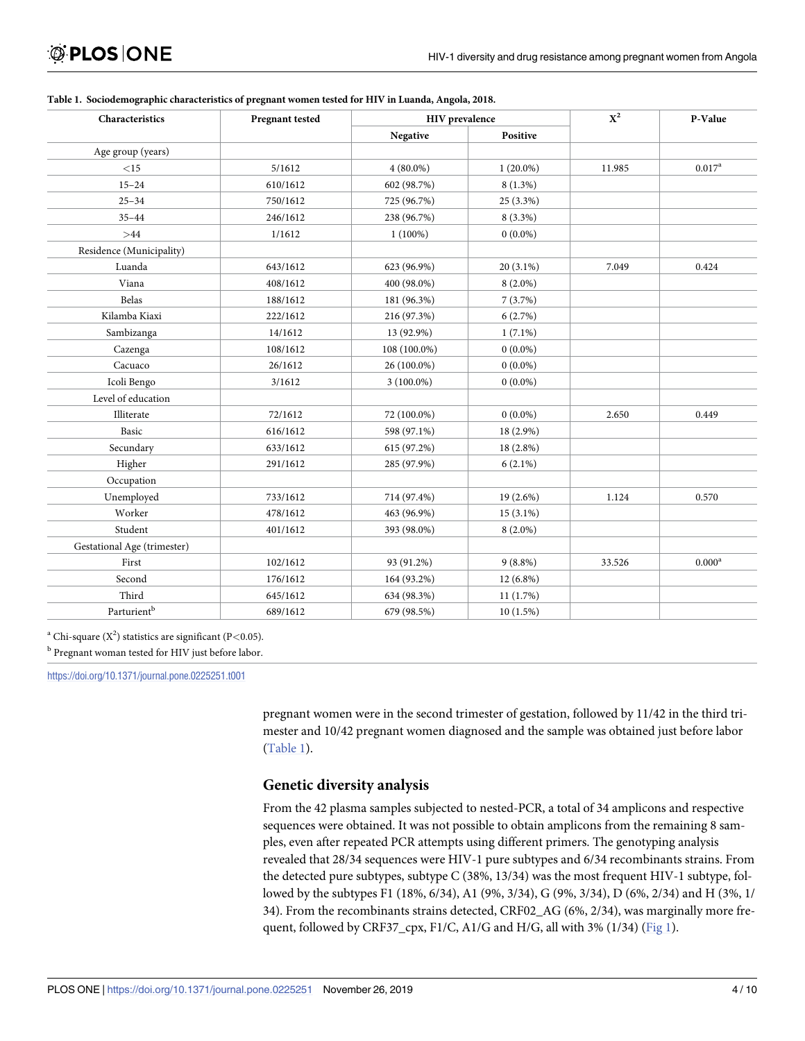| Characteristics                                 | Pregnant tested | <b>HIV</b> prevalence |             | $X^2$  | P-Value         |
|-------------------------------------------------|-----------------|-----------------------|-------------|--------|-----------------|
|                                                 |                 | Negative              | Positive    |        |                 |
| Age group (years)                               |                 |                       |             |        |                 |
| <15                                             | 5/1612          | $4(80.0\%)$           | $1(20.0\%)$ | 11.985 | $0.017^{\rm a}$ |
| $15 - 24$                                       | 610/1612        | 602 (98.7%)           | $8(1.3\%)$  |        |                 |
| $25 - 34$                                       | 750/1612        | 725 (96.7%)           | 25 (3.3%)   |        |                 |
| $35 - 44$                                       | 246/1612        | 238 (96.7%)           | $8(3.3\%)$  |        |                 |
| >44                                             | 1/1612          | $1(100\%)$            | $0(0.0\%)$  |        |                 |
| Residence (Municipality)                        |                 |                       |             |        |                 |
| Luanda                                          | 643/1612        | 623 (96.9%)           | $20(3.1\%)$ | 7.049  | 0.424           |
| Viana                                           | 408/1612        | 400 (98.0%)           | $8(2.0\%)$  |        |                 |
| Belas                                           | 188/1612        | 181 (96.3%)           | 7(3.7%)     |        |                 |
| Kilamba Kiaxi                                   | 222/1612        | 216 (97.3%)           | 6(2.7%)     |        |                 |
| Sambizanga                                      | 14/1612         | 13 (92.9%)            | $1(7.1\%)$  |        |                 |
| Cazenga                                         | 108/1612        | 108 (100.0%)          | $0(0.0\%)$  |        |                 |
| Cacuaco                                         | 26/1612         | 26 (100.0%)           | $0(0.0\%)$  |        |                 |
| Icoli Bengo                                     | 3/1612          | $3(100.0\%)$          | $0(0.0\%)$  |        |                 |
| Level of education                              |                 |                       |             |        |                 |
| Illiterate                                      | 72/1612         | 72 (100.0%)           | $0(0.0\%)$  | 2.650  | 0.449           |
| Basic                                           | 616/1612        | 598 (97.1%)           | 18 (2.9%)   |        |                 |
| Secundary                                       | 633/1612        | 615 (97.2%)           | 18 (2.8%)   |        |                 |
| Higher                                          | 291/1612        | 285 (97.9%)           | $6(2.1\%)$  |        |                 |
| Occupation                                      |                 |                       |             |        |                 |
| Unemployed                                      | 733/1612        | 714 (97.4%)           | 19 (2.6%)   | 1.124  | 0.570           |
| Worker                                          | 478/1612        | 463 (96.9%)           | $15(3.1\%)$ |        |                 |
| Student                                         | 401/1612        | 393 (98.0%)           | $8(2.0\%)$  |        |                 |
| Gestational Age (trimester)                     |                 |                       |             |        |                 |
| First                                           | 102/1612        | 93 (91.2%)            | $9(8.8\%)$  | 33.526 | $0.000^{\rm a}$ |
| Second                                          | 176/1612        | 164 (93.2%)           | $12(6.8\%)$ |        |                 |
| Third                                           | 645/1612        | 634 (98.3%)           | 11(1.7%)    |        |                 |
| $\ensuremath{\mathsf{Parturient}}^{\mathrm{b}}$ | 689/1612        | 679 (98.5%)           | 10(1.5%)    |        |                 |

#### <span id="page-3-0"></span>**Table 1. Sociodemographic characteristics of pregnant women tested for HIV in Luanda, Angola, 2018.**

<sup>a</sup> Chi-square  $(X^2)$  statistics are significant (P<0.05).

<sup>b</sup> Pregnant woman tested for HIV just before labor.

<https://doi.org/10.1371/journal.pone.0225251.t001>

pregnant women were in the second trimester of gestation, followed by 11/42 in the third trimester and 10/42 pregnant women diagnosed and the sample was obtained just before labor (Table 1).

## **Genetic diversity analysis**

From the 42 plasma samples subjected to nested-PCR, a total of 34 amplicons and respective sequences were obtained. It was not possible to obtain amplicons from the remaining 8 samples, even after repeated PCR attempts using different primers. The genotyping analysis revealed that 28/34 sequences were HIV-1 pure subtypes and 6/34 recombinants strains. From the detected pure subtypes, subtype C (38%, 13/34) was the most frequent HIV-1 subtype, followed by the subtypes F1 (18%, 6/34), A1 (9%, 3/34), G (9%, 3/34), D (6%, 2/34) and H (3%, 1/ 34). From the recombinants strains detected, CRF02\_AG (6%, 2/34), was marginally more fre-quent, followed by CRF37\_cpx, F1/C, A1/G and H/G, all with 3% (1/34) [\(Fig](#page-4-0) 1).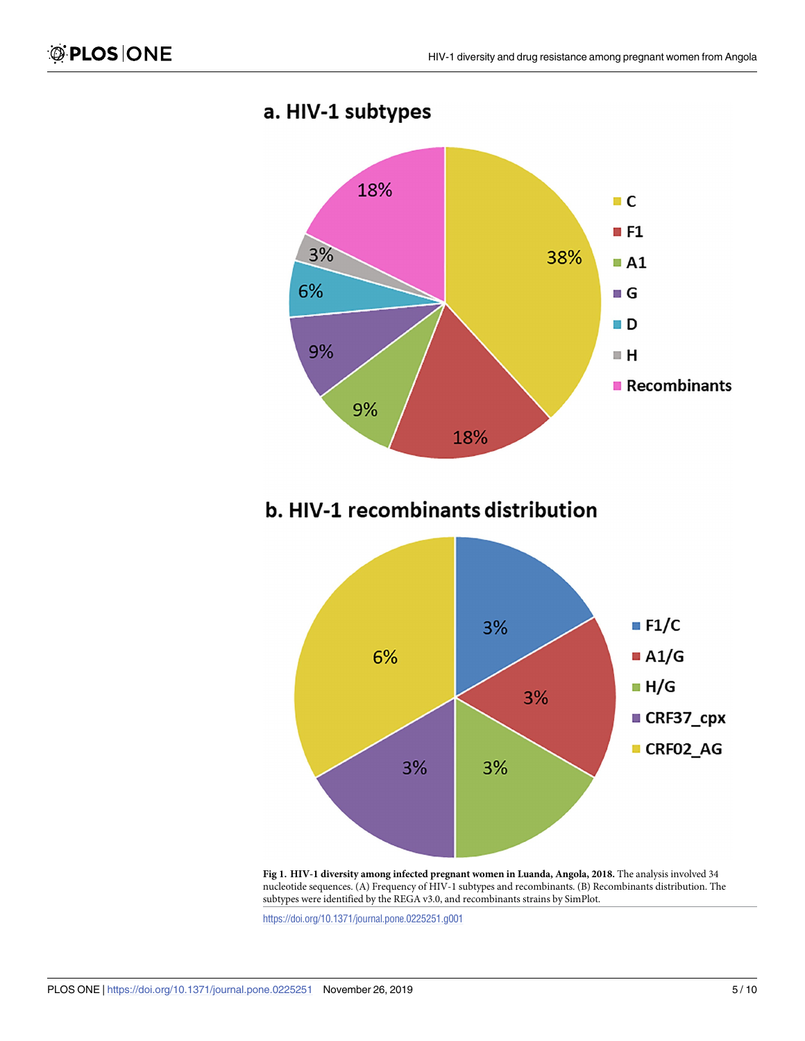

## <span id="page-4-0"></span>a. HIV-1 subtypes

**[Fig](#page-3-0) 1. HIV-1 diversity among infected pregnant women in Luanda, Angola, 2018.** The analysis involved 34 nucleotide sequences. (A) Frequency of HIV-1 subtypes and recombinants. (B) Recombinants distribution. The subtypes were identified by the REGA v3.0, and recombinants strains by SimPlot.

<https://doi.org/10.1371/journal.pone.0225251.g001>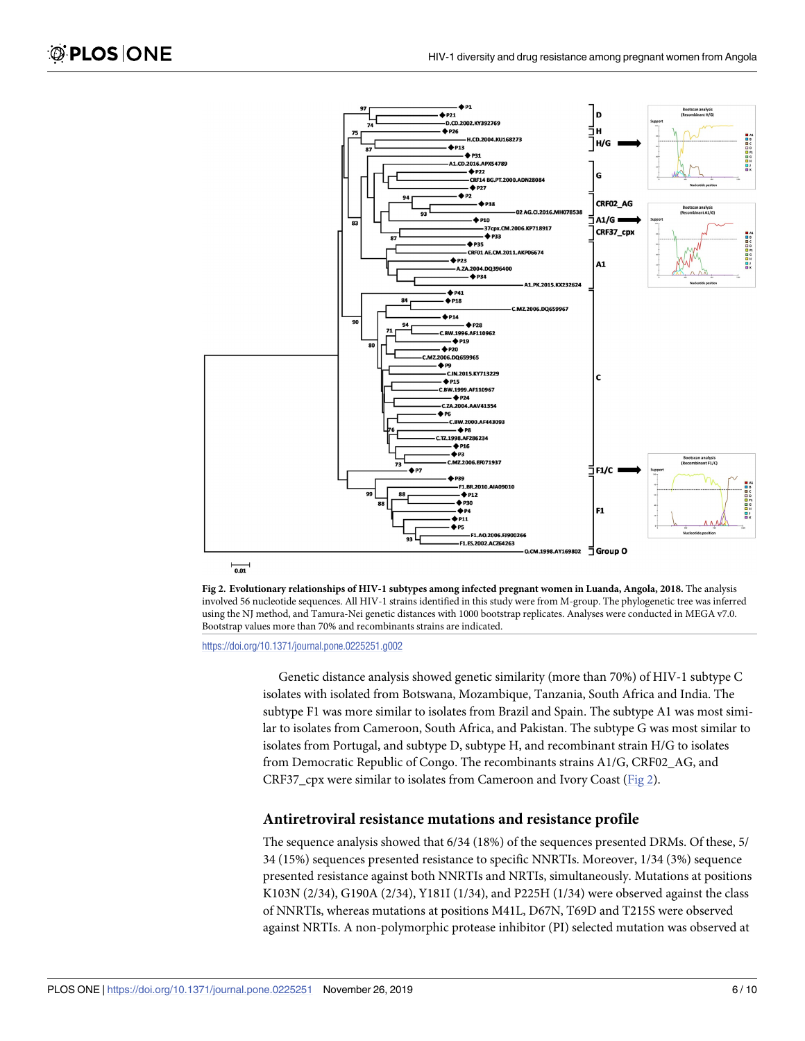<span id="page-5-0"></span>



<https://doi.org/10.1371/journal.pone.0225251.g002>

Genetic distance analysis showed genetic similarity (more than 70%) of HIV-1 subtype C isolates with isolated from Botswana, Mozambique, Tanzania, South Africa and India. The subtype F1 was more similar to isolates from Brazil and Spain. The subtype A1 was most similar to isolates from Cameroon, South Africa, and Pakistan. The subtype G was most similar to isolates from Portugal, and subtype D, subtype H, and recombinant strain H/G to isolates from Democratic Republic of Congo. The recombinants strains A1/G, CRF02\_AG, and CRF37\_cpx were similar to isolates from Cameroon and Ivory Coast (Fig 2).

#### **Antiretroviral resistance mutations and resistance profile**

The sequence analysis showed that 6/34 (18%) of the sequences presented DRMs. Of these, 5/ 34 (15%) sequences presented resistance to specific NNRTIs. Moreover, 1/34 (3%) sequence presented resistance against both NNRTIs and NRTIs, simultaneously. Mutations at positions K103N (2/34), G190A (2/34), Y181I (1/34), and P225H (1/34) were observed against the class of NNRTIs, whereas mutations at positions M41L, D67N, T69D and T215S were observed against NRTIs. A non-polymorphic protease inhibitor (PI) selected mutation was observed at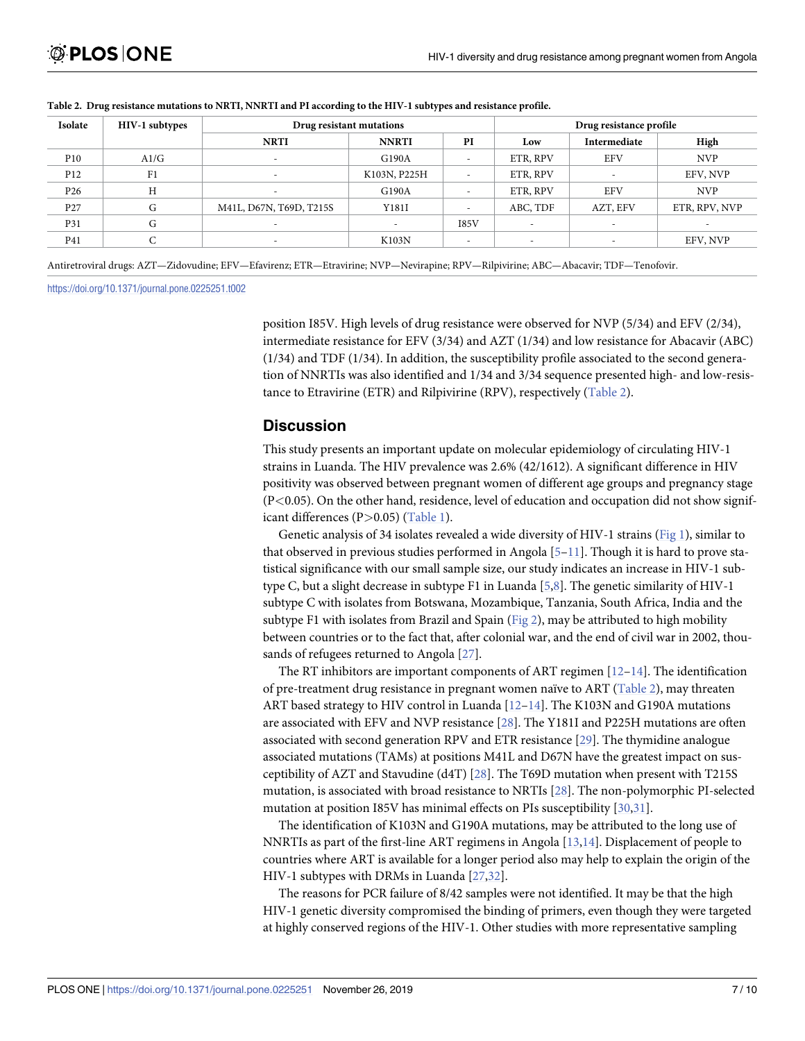| Isolate         | HIV-1 subtypes | Drug resistant mutations |              |                          | Drug resistance profile |                          |               |
|-----------------|----------------|--------------------------|--------------|--------------------------|-------------------------|--------------------------|---------------|
|                 |                | <b>NRTI</b>              | <b>NNRTI</b> | PI                       | Low                     | Intermediate             | High          |
| P <sub>10</sub> | A1/G           |                          | G190A        | $\overline{\phantom{a}}$ | ETR, RPV                | <b>EFV</b>               | <b>NVP</b>    |
| P <sub>12</sub> | F1             |                          | K103N, P225H | $\overline{\phantom{a}}$ | ETR, RPV                | $\overline{\phantom{a}}$ | EFV, NVP      |
| P <sub>26</sub> | Н              |                          | G190A        | $\overline{\phantom{a}}$ | ETR, RPV                | <b>EFV</b>               | <b>NVP</b>    |
| P <sub>27</sub> | G              | M41L, D67N, T69D, T215S  | Y181I        | $\overline{\phantom{a}}$ | ABC, TDF                | AZT, EFV                 | ETR, RPV, NVP |
| P31             | G              |                          |              | 185V                     |                         |                          |               |
| P41             |                |                          | K103N        | $\overline{\phantom{a}}$ |                         | $\overline{\phantom{a}}$ | EFV, NVP      |

#### <span id="page-6-0"></span>Table 2. Drug resistance mutations to NRTI, NNRTI and PI according to the HIV-1 subtypes and resistance profile.

Antiretroviral drugs: AZT—Zidovudine; EFV—Efavirenz; ETR—Etravirine; NVP—Nevirapine; RPV—Rilpivirine; ABC—Abacavir; TDF—Tenofovir.

<https://doi.org/10.1371/journal.pone.0225251.t002>

position I85V. High levels of drug resistance were observed for NVP (5/34) and EFV (2/34), intermediate resistance for EFV (3/34) and AZT (1/34) and low resistance for Abacavir (ABC) (1/34) and TDF (1/34). In addition, the susceptibility profile associated to the second generation of NNRTIs was also identified and 1/34 and 3/34 sequence presented high- and low-resistance to Etravirine (ETR) and Rilpivirine (RPV), respectively (Table 2).

## **Discussion**

This study presents an important update on molecular epidemiology of circulating HIV-1 strains in Luanda. The HIV prevalence was 2.6% (42/1612). A significant difference in HIV positivity was observed between pregnant women of different age groups and pregnancy stage (P*<*0.05). On the other hand, residence, level of education and occupation did not show significant differences (P*>*0.05) ([Table](#page-3-0) 1).

Genetic analysis of 34 isolates revealed a wide diversity of HIV-1 strains ([Fig](#page-4-0) 1), similar to that observed in previous studies performed in Angola  $[5-11]$ . Though it is hard to prove statistical significance with our small sample size, our study indicates an increase in HIV-1 subtype C, but a slight decrease in subtype F1 in Luanda [[5,8\]](#page-8-0). The genetic similarity of HIV-1 subtype C with isolates from Botswana, Mozambique, Tanzania, South Africa, India and the subtype F1 with isolates from Brazil and Spain [\(Fig](#page-5-0) 2), may be attributed to high mobility between countries or to the fact that, after colonial war, and the end of civil war in 2002, thousands of refugees returned to Angola [[27](#page-9-0)].

The RT inhibitors are important components of ART regimen [\[12–14](#page-8-0)]. The identification of pre-treatment drug resistance in pregnant women naïve to ART (Table 2), may threaten ART based strategy to HIV control in Luanda [\[12–14](#page-8-0)]. The K103N and G190A mutations are associated with EFV and NVP resistance [\[28\]](#page-9-0). The Y181I and P225H mutations are often associated with second generation RPV and ETR resistance [[29](#page-9-0)]. The thymidine analogue associated mutations (TAMs) at positions M41L and D67N have the greatest impact on susceptibility of AZT and Stavudine (d4T) [[28](#page-9-0)]. The T69D mutation when present with T215S mutation, is associated with broad resistance to NRTIs [\[28\]](#page-9-0). The non-polymorphic PI-selected mutation at position I85V has minimal effects on PIs susceptibility [\[30,31](#page-9-0)].

The identification of K103N and G190A mutations, may be attributed to the long use of NNRTIs as part of the first-line ART regimens in Angola [\[13,14\]](#page-8-0). Displacement of people to countries where ART is available for a longer period also may help to explain the origin of the HIV-1 subtypes with DRMs in Luanda [[27,32\]](#page-9-0).

The reasons for PCR failure of 8/42 samples were not identified. It may be that the high HIV-1 genetic diversity compromised the binding of primers, even though they were targeted at highly conserved regions of the HIV-1. Other studies with more representative sampling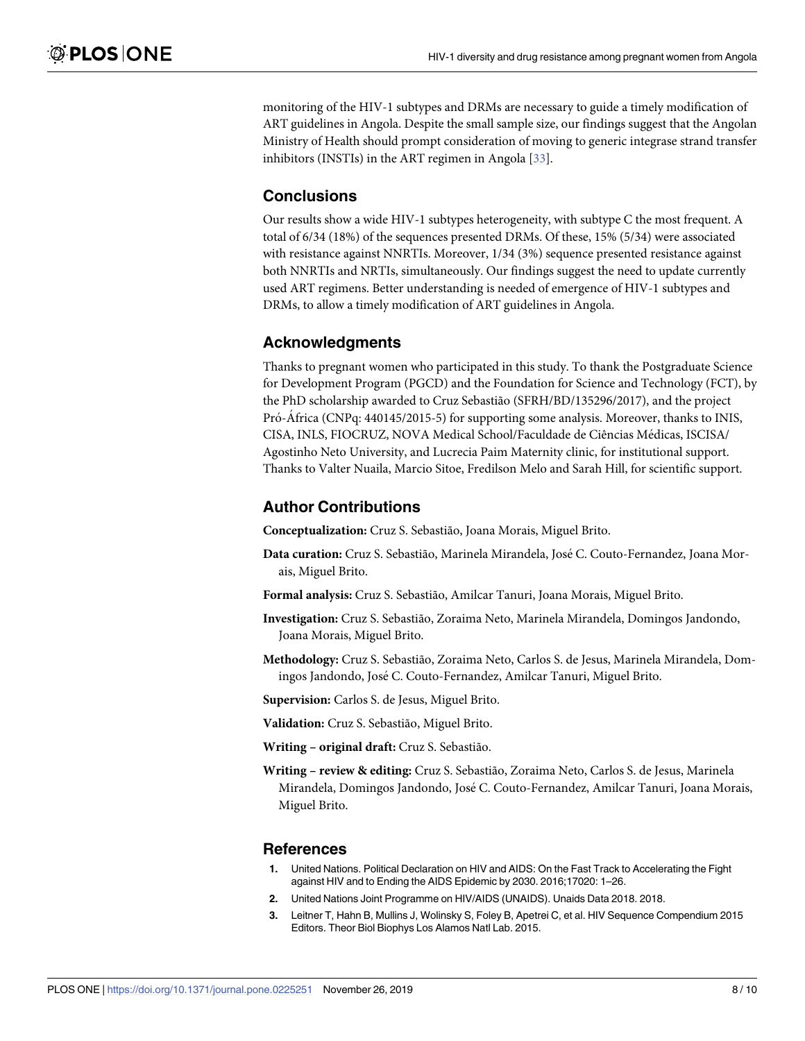<span id="page-7-0"></span>monitoring of the HIV-1 subtypes and DRMs are necessary to guide a timely modification of ART guidelines in Angola. Despite the small sample size, our findings suggest that the Angolan Ministry of Health should prompt consideration of moving to generic integrase strand transfer inhibitors (INSTIs) in the ART regimen in Angola [[33](#page-9-0)].

## **Conclusions**

Our results show a wide HIV-1 subtypes heterogeneity, with subtype C the most frequent. A total of 6/34 (18%) of the sequences presented DRMs. Of these, 15% (5/34) were associated with resistance against NNRTIs. Moreover, 1/34 (3%) sequence presented resistance against both NNRTIs and NRTIs, simultaneously. Our findings suggest the need to update currently used ART regimens. Better understanding is needed of emergence of HIV-1 subtypes and DRMs, to allow a timely modification of ART guidelines in Angola.

## **Acknowledgments**

Thanks to pregnant women who participated in this study. To thank the Postgraduate Science for Development Program (PGCD) and the Foundation for Science and Technology (FCT), by the PhD scholarship awarded to Cruz Sebastião (SFRH/BD/135296/2017), and the project Pró-África (CNPq: 440145/2015-5) for supporting some analysis. Moreover, thanks to INIS, CISA, INLS, FIOCRUZ, NOVA Medical School/Faculdade de Ciências Médicas, ISCISA/ Agostinho Neto University, and Lucrecia Paim Maternity clinic, for institutional support. Thanks to Valter Nuaila, Marcio Sitoe, Fredilson Melo and Sarah Hill, for scientific support.

## **Author Contributions**

**Conceptualization:** Cruz S. Sebastião, Joana Morais, Miguel Brito.

- **Data curation:** Cruz S. Sebastião, Marinela Mirandela, Jose´ C. Couto-Fernandez, Joana Morais, Miguel Brito.
- **Formal analysis:** Cruz S. Sebastião, Amilcar Tanuri, Joana Morais, Miguel Brito.
- **Investigation:** Cruz S. Sebastião, Zoraima Neto, Marinela Mirandela, Domingos Jandondo, Joana Morais, Miguel Brito.
- **Methodology:** Cruz S. Sebastião, Zoraima Neto, Carlos S. de Jesus, Marinela Mirandela, Domingos Jandondo, José C. Couto-Fernandez, Amilcar Tanuri, Miguel Brito.

**Supervision:** Carlos S. de Jesus, Miguel Brito.

**Validation:** Cruz S. Sebastião, Miguel Brito.

**Writing – original draft:** Cruz S. Sebastião.

**Writing – review & editing:** Cruz S. Sebastião, Zoraima Neto, Carlos S. de Jesus, Marinela Mirandela, Domingos Jandondo, Jose´ C. Couto-Fernandez, Amilcar Tanuri, Joana Morais, Miguel Brito.

## **References**

- **[1](#page-1-0).** United Nations. Political Declaration on HIV and AIDS: On the Fast Track to Accelerating the Fight against HIV and to Ending the AIDS Epidemic by 2030. 2016;17020: 1–26.
- **[2](#page-1-0).** United Nations Joint Programme on HIV/AIDS (UNAIDS). Unaids Data 2018. 2018.
- **[3](#page-1-0).** Leitner T, Hahn B, Mullins J, Wolinsky S, Foley B, Apetrei C, et al. HIV Sequence Compendium 2015 Editors. Theor Biol Biophys Los Alamos Natl Lab. 2015.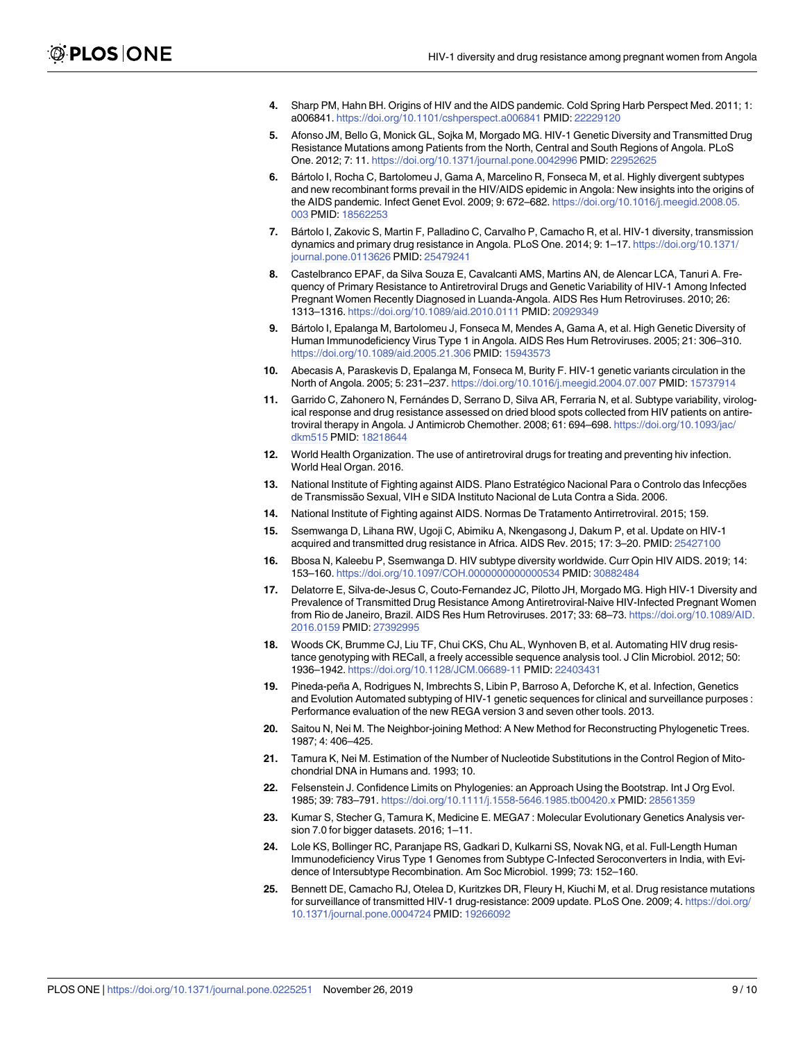- <span id="page-8-0"></span>**[4](#page-1-0).** Sharp PM, Hahn BH. Origins of HIV and the AIDS pandemic. Cold Spring Harb Perspect Med. 2011; 1: a006841. <https://doi.org/10.1101/cshperspect.a006841> PMID: [22229120](http://www.ncbi.nlm.nih.gov/pubmed/22229120)
- **[5](#page-1-0).** Afonso JM, Bello G, Monick GL, Sojka M, Morgado MG. HIV-1 Genetic Diversity and Transmitted Drug Resistance Mutations among Patients from the North, Central and South Regions of Angola. PLoS One. 2012; 7: 11. <https://doi.org/10.1371/journal.pone.0042996> PMID: [22952625](http://www.ncbi.nlm.nih.gov/pubmed/22952625)
- **6.** Ba´rtolo I, Rocha C, Bartolomeu J, Gama A, Marcelino R, Fonseca M, et al. Highly divergent subtypes and new recombinant forms prevail in the HIV/AIDS epidemic in Angola: New insights into the origins of the AIDS pandemic. Infect Genet Evol. 2009; 9: 672–682. [https://doi.org/10.1016/j.meegid.2008.05.](https://doi.org/10.1016/j.meegid.2008.05.003) [003](https://doi.org/10.1016/j.meegid.2008.05.003) PMID: [18562253](http://www.ncbi.nlm.nih.gov/pubmed/18562253)
- **7.** Ba´rtolo I, Zakovic S, Martin F, Palladino C, Carvalho P, Camacho R, et al. HIV-1 diversity, transmission dynamics and primary drug resistance in Angola. PLoS One. 2014; 9: 1–17. [https://doi.org/10.1371/](https://doi.org/10.1371/journal.pone.0113626) [journal.pone.0113626](https://doi.org/10.1371/journal.pone.0113626) PMID: [25479241](http://www.ncbi.nlm.nih.gov/pubmed/25479241)
- **[8](#page-6-0).** Castelbranco EPAF, da Silva Souza E, Cavalcanti AMS, Martins AN, de Alencar LCA, Tanuri A. Frequency of Primary Resistance to Antiretroviral Drugs and Genetic Variability of HIV-1 Among Infected Pregnant Women Recently Diagnosed in Luanda-Angola. AIDS Res Hum Retroviruses. 2010; 26: 1313–1316. <https://doi.org/10.1089/aid.2010.0111> PMID: [20929349](http://www.ncbi.nlm.nih.gov/pubmed/20929349)
- **9.** Ba´rtolo I, Epalanga M, Bartolomeu J, Fonseca M, Mendes A, Gama A, et al. High Genetic Diversity of Human Immunodeficiency Virus Type 1 in Angola. AIDS Res Hum Retroviruses. 2005; 21: 306–310. <https://doi.org/10.1089/aid.2005.21.306> PMID: [15943573](http://www.ncbi.nlm.nih.gov/pubmed/15943573)
- **10.** Abecasis A, Paraskevis D, Epalanga M, Fonseca M, Burity F. HIV-1 genetic variants circulation in the North of Angola. 2005; 5: 231–237. <https://doi.org/10.1016/j.meegid.2004.07.007> PMID: [15737914](http://www.ncbi.nlm.nih.gov/pubmed/15737914)
- **[11](#page-1-0).** Garrido C, Zahonero N, Fernándes D, Serrano D, Silva AR, Ferraria N, et al. Subtype variability, virological response and drug resistance assessed on dried blood spots collected from HIV patients on antiretroviral therapy in Angola. J Antimicrob Chemother. 2008; 61: 694–698. [https://doi.org/10.1093/jac/](https://doi.org/10.1093/jac/dkm515) [dkm515](https://doi.org/10.1093/jac/dkm515) PMID: [18218644](http://www.ncbi.nlm.nih.gov/pubmed/18218644)
- **[12](#page-1-0).** World Health Organization. The use of antiretroviral drugs for treating and preventing hiv infection. World Heal Organ. 2016.
- **[13](#page-1-0).** National Institute of Fighting against AIDS. Plano Estratégico Nacional Para o Controlo das Infecções de Transmissão Sexual, VIH e SIDA Instituto Nacional de Luta Contra a Sida. 2006.
- **[14](#page-1-0).** National Institute of Fighting against AIDS. Normas De Tratamento Antirretroviral. 2015; 159.
- **[15](#page-1-0).** Ssemwanga D, Lihana RW, Ugoji C, Abimiku A, Nkengasong J, Dakum P, et al. Update on HIV-1 acquired and transmitted drug resistance in Africa. AIDS Rev. 2015; 17: 3–20. PMID: [25427100](http://www.ncbi.nlm.nih.gov/pubmed/25427100)
- **[16](#page-1-0).** Bbosa N, Kaleebu P, Ssemwanga D. HIV subtype diversity worldwide. Curr Opin HIV AIDS. 2019; 14: 153–160. <https://doi.org/10.1097/COH.0000000000000534> PMID: [30882484](http://www.ncbi.nlm.nih.gov/pubmed/30882484)
- **[17](#page-1-0).** Delatorre E, Silva-de-Jesus C, Couto-Fernandez JC, Pilotto JH, Morgado MG. High HIV-1 Diversity and Prevalence of Transmitted Drug Resistance Among Antiretroviral-Naive HIV-Infected Pregnant Women from Rio de Janeiro, Brazil. AIDS Res Hum Retroviruses. 2017; 33: 68–73. [https://doi.org/10.1089/AID.](https://doi.org/10.1089/AID.2016.0159) [2016.0159](https://doi.org/10.1089/AID.2016.0159) PMID: [27392995](http://www.ncbi.nlm.nih.gov/pubmed/27392995)
- **[18](#page-2-0).** Woods CK, Brumme CJ, Liu TF, Chui CKS, Chu AL, Wynhoven B, et al. Automating HIV drug resistance genotyping with RECall, a freely accessible sequence analysis tool. J Clin Microbiol. 2012; 50: 1936–1942. <https://doi.org/10.1128/JCM.06689-11> PMID: [22403431](http://www.ncbi.nlm.nih.gov/pubmed/22403431)
- **[19](#page-2-0).** Pineda-peña A, Rodrigues N, Imbrechts S, Libin P, Barroso A, Deforche K, et al. Infection, Genetics and Evolution Automated subtyping of HIV-1 genetic sequences for clinical and surveillance purposes : Performance evaluation of the new REGA version 3 and seven other tools. 2013.
- **[20](#page-2-0).** Saitou N, Nei M. The Neighbor-joining Method: A New Method for Reconstructing Phylogenetic Trees. 1987; 4: 406–425.
- **[21](#page-2-0).** Tamura K, Nei M. Estimation of the Number of Nucleotide Substitutions in the Control Region of Mitochondrial DNA in Humans and. 1993; 10.
- **[22](#page-2-0).** Felsenstein J. Confidence Limits on Phylogenies: an Approach Using the Bootstrap. Int J Org Evol. 1985; 39: 783–791. <https://doi.org/10.1111/j.1558-5646.1985.tb00420.x> PMID: [28561359](http://www.ncbi.nlm.nih.gov/pubmed/28561359)
- **[23](#page-2-0).** Kumar S, Stecher G, Tamura K, Medicine E. MEGA7 : Molecular Evolutionary Genetics Analysis version 7.0 for bigger datasets. 2016; 1–11.
- **[24](#page-2-0).** Lole KS, Bollinger RC, Paranjape RS, Gadkari D, Kulkarni SS, Novak NG, et al. Full-Length Human Immunodeficiency Virus Type 1 Genomes from Subtype C-Infected Seroconverters in India, with Evidence of Intersubtype Recombination. Am Soc Microbiol. 1999; 73: 152–160.
- **[25](#page-2-0).** Bennett DE, Camacho RJ, Otelea D, Kuritzkes DR, Fleury H, Kiuchi M, et al. Drug resistance mutations for surveillance of transmitted HIV-1 drug-resistance: 2009 update. PLoS One. 2009; 4. [https://doi.org/](https://doi.org/10.1371/journal.pone.0004724) [10.1371/journal.pone.0004724](https://doi.org/10.1371/journal.pone.0004724) PMID: [19266092](http://www.ncbi.nlm.nih.gov/pubmed/19266092)